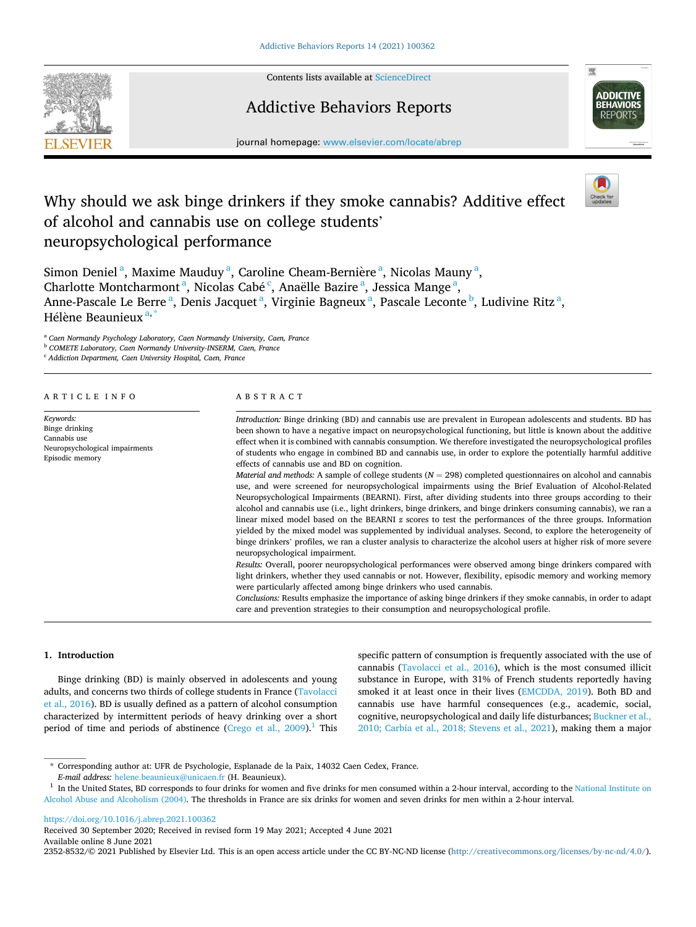

Contents lists available at [ScienceDirect](www.sciencedirect.com/science/journal/23528532)

# Addictive Behaviors Reports



journal homepage: [www.elsevier.com/locate/abrep](https://www.elsevier.com/locate/abrep)

# Why should we ask binge drinkers if they smoke cannabis? Additive effect of alcohol and cannabis use on college students' neuropsychological performance

Simon Deniel<sup>a</sup>, Maxime Mauduy<sup>a</sup>, Caroline Cheam-Bernière<sup>a</sup>, Nicolas Mauny<sup>a</sup>, Charlotte Montcharmont<sup>a</sup>, Nicolas Cabé<sup>c</sup>, Anaëlle Bazire<sup>a</sup>, Jessica Mange<sup>a</sup>, Anne-Pascale Le Berre <sup>a</sup>, Denis Jacquet <sup>a</sup>, Virginie Bagneux <sup>a</sup>, Pascale Leconte <sup>b</sup>, Ludivine Ritz <sup>a</sup>, Hélène Beaunieux<sup>a,\*</sup>

<sup>a</sup> *Caen Normandy Psychology Laboratory, Caen Normandy University, Caen, France* 

<sup>b</sup> *COMETE Laboratory, Caen Normandy University-INSERM, Caen, France* 

<sup>c</sup> *Addiction Department, Caen University Hospital, Caen, France* 

## ARTICLE INFO

*Keywords:*  Binge drinking Cannabis use Neuropsychological impairments Episodic memory

# ABSTRACT

*Introduction:* Binge drinking (BD) and cannabis use are prevalent in European adolescents and students. BD has been shown to have a negative impact on neuropsychological functioning, but little is known about the additive effect when it is combined with cannabis consumption. We therefore investigated the neuropsychological profiles of students who engage in combined BD and cannabis use, in order to explore the potentially harmful additive effects of cannabis use and BD on cognition.

*Material and methods:* A sample of college students (*N* = 298) completed questionnaires on alcohol and cannabis use, and were screened for neuropsychological impairments using the Brief Evaluation of Alcohol-Related Neuropsychological Impairments (BEARNI). First, after dividing students into three groups according to their alcohol and cannabis use (i.e., light drinkers, binge drinkers, and binge drinkers consuming cannabis), we ran a linear mixed model based on the BEARNI *z* scores to test the performances of the three groups. Information yielded by the mixed model was supplemented by individual analyses. Second, to explore the heterogeneity of binge drinkers' profiles, we ran a cluster analysis to characterize the alcohol users at higher risk of more severe neuropsychological impairment.

*Results:* Overall, poorer neuropsychological performances were observed among binge drinkers compared with light drinkers, whether they used cannabis or not. However, flexibility, episodic memory and working memory were particularly affected among binge drinkers who used cannabis.

*Conclusions:* Results emphasize the importance of asking binge drinkers if they smoke cannabis, in order to adapt care and prevention strategies to their consumption and neuropsychological profile.

# **1. Introduction**

Binge drinking (BD) is mainly observed in adolescents and young adults, and concerns two thirds of college students in France [\(Tavolacci](#page-7-0)  [et al., 2016\)](#page-7-0). BD is usually defined as a pattern of alcohol consumption characterized by intermittent periods of heavy drinking over a short period of time and periods of abstinence (Crego et al.,  $2009$ ).<sup>1</sup> This specific pattern of consumption is frequently associated with the use of cannabis ([Tavolacci et al., 2016](#page-7-0)), which is the most consumed illicit substance in Europe, with 31% of French students reportedly having smoked it at least once in their lives [\(EMCDDA, 2019\)](#page-7-0). Both BD and cannabis use have harmful consequences (e.g., academic, social, cognitive, neuropsychological and daily life disturbances; [Buckner et al.,](#page-7-0)  [2010; Carbia et al., 2018; Stevens et al., 2021](#page-7-0)), making them a major

## <https://doi.org/10.1016/j.abrep.2021.100362>

Received 30 September 2020; Received in revised form 19 May 2021; Accepted 4 June 2021

Available online 8 June 2021

2352-8532/© 2021 Published by Elsevier Ltd. This is an open access article under the CC BY-NC-ND license [\(http://creativecommons.org/licenses/by-nc-nd/4.0/\)](http://creativecommons.org/licenses/by-nc-nd/4.0/).

<sup>\*</sup> Corresponding author at: UFR de Psychologie, Esplanade de la Paix, 14032 Caen Cedex, France.

 $E$ -mail address: [helene.beaunieux@unicaen.fr](mailto:helene.beaunieux@unicaen.fr) (H. Beaunieux).<br><sup>1</sup> In the United States, BD corresponds to four drinks for women and five drinks for men consumed within a 2-hour interval, according to the National Institut [Alcohol Abuse and Alcoholism \(2004\).](#page-7-0) The thresholds in France are six drinks for women and seven drinks for men within a 2-hour interval.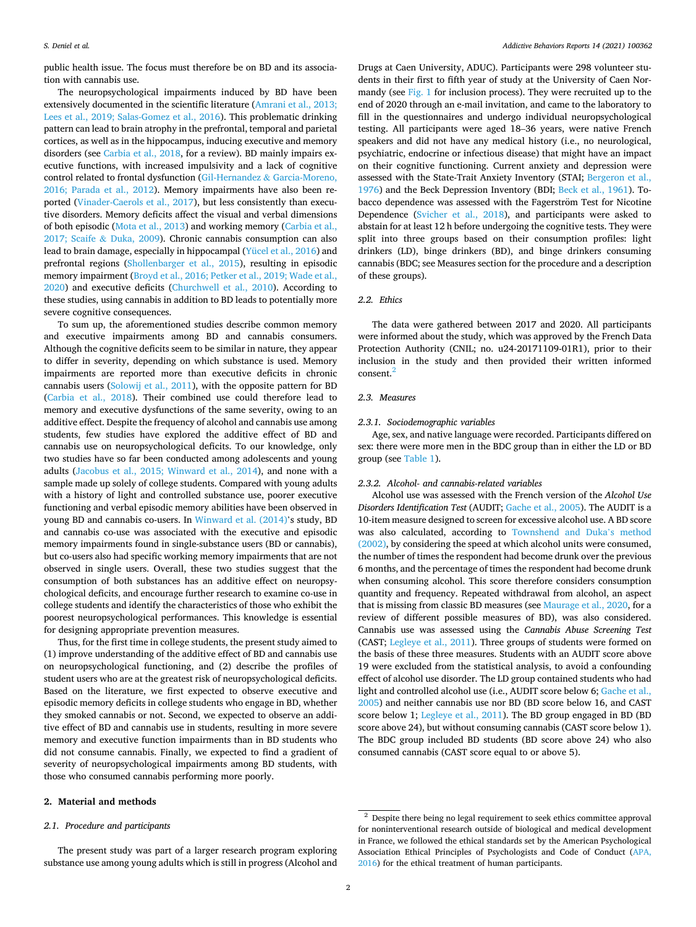public health issue. The focus must therefore be on BD and its association with cannabis use.

The neuropsychological impairments induced by BD have been extensively documented in the scientific literature [\(Amrani et al., 2013;](#page-7-0)  [Lees et al., 2019; Salas-Gomez et al., 2016\)](#page-7-0). This problematic drinking pattern can lead to brain atrophy in the prefrontal, temporal and parietal cortices, as well as in the hippocampus, inducing executive and memory disorders (see [Carbia et al., 2018,](#page-7-0) for a review). BD mainly impairs executive functions, with increased impulsivity and a lack of cognitive control related to frontal dysfunction (Gil-Hernandez & [Garcia-Moreno,](#page-7-0)  [2016; Parada et al., 2012\)](#page-7-0). Memory impairments have also been reported [\(Vinader-Caerols et al., 2017\)](#page-8-0), but less consistently than executive disorders. Memory deficits affect the visual and verbal dimensions of both episodic ([Mota et al., 2013](#page-7-0)) and working memory ([Carbia et al.,](#page-7-0)  [2017; Scaife](#page-7-0) & Duka, 2009). Chronic cannabis consumption can also lead to brain damage, especially in hippocampal [\(Yücel et al., 2016\)](#page-8-0) and prefrontal regions [\(Shollenbarger et al., 2015](#page-7-0)), resulting in episodic memory impairment [\(Broyd et al., 2016; Petker et al., 2019; Wade et al.,](#page-7-0)  [2020\)](#page-7-0) and executive deficits [\(Churchwell et al., 2010\)](#page-7-0). According to these studies, using cannabis in addition to BD leads to potentially more severe cognitive consequences.

To sum up, the aforementioned studies describe common memory and executive impairments among BD and cannabis consumers. Although the cognitive deficits seem to be similar in nature, they appear to differ in severity, depending on which substance is used. Memory impairments are reported more than executive deficits in chronic cannabis users ([Solowij et al., 2011](#page-7-0)), with the opposite pattern for BD ([Carbia et al., 2018\)](#page-7-0). Their combined use could therefore lead to memory and executive dysfunctions of the same severity, owing to an additive effect. Despite the frequency of alcohol and cannabis use among students, few studies have explored the additive effect of BD and cannabis use on neuropsychological deficits. To our knowledge, only two studies have so far been conducted among adolescents and young adults [\(Jacobus et al., 2015; Winward et al., 2014\)](#page-7-0), and none with a sample made up solely of college students. Compared with young adults with a history of light and controlled substance use, poorer executive functioning and verbal episodic memory abilities have been observed in young BD and cannabis co-users. In [Winward et al. \(2014\)](#page-8-0)'s study, BD and cannabis co-use was associated with the executive and episodic memory impairments found in single-substance users (BD or cannabis), but co-users also had specific working memory impairments that are not observed in single users. Overall, these two studies suggest that the consumption of both substances has an additive effect on neuropsychological deficits, and encourage further research to examine co-use in college students and identify the characteristics of those who exhibit the poorest neuropsychological performances. This knowledge is essential for designing appropriate prevention measures.

Thus, for the first time in college students, the present study aimed to (1) improve understanding of the additive effect of BD and cannabis use on neuropsychological functioning, and (2) describe the profiles of student users who are at the greatest risk of neuropsychological deficits. Based on the literature, we first expected to observe executive and episodic memory deficits in college students who engage in BD, whether they smoked cannabis or not. Second, we expected to observe an additive effect of BD and cannabis use in students, resulting in more severe memory and executive function impairments than in BD students who did not consume cannabis. Finally, we expected to find a gradient of severity of neuropsychological impairments among BD students, with those who consumed cannabis performing more poorly.

# **2. Material and methods**

# *2.1. Procedure and participants*

The present study was part of a larger research program exploring substance use among young adults which is still in progress (Alcohol and Drugs at Caen University, ADUC). Participants were 298 volunteer students in their first to fifth year of study at the University of Caen Normandy (see [Fig. 1](#page-2-0) for inclusion process). They were recruited up to the end of 2020 through an e-mail invitation, and came to the laboratory to fill in the questionnaires and undergo individual neuropsychological testing. All participants were aged 18–36 years, were native French speakers and did not have any medical history (i.e., no neurological, psychiatric, endocrine or infectious disease) that might have an impact on their cognitive functioning. Current anxiety and depression were assessed with the State-Trait Anxiety Inventory (STAI; Bergeron et al., [1976\)](#page-7-0) and the Beck Depression Inventory (BDI; [Beck et al., 1961](#page-7-0)). Tobacco dependence was assessed with the Fagerström Test for Nicotine Dependence ([Svicher et al., 2018\)](#page-7-0), and participants were asked to abstain for at least 12 h before undergoing the cognitive tests. They were split into three groups based on their consumption profiles: light drinkers (LD), binge drinkers (BD), and binge drinkers consuming cannabis (BDC; see Measures section for the procedure and a description of these groups).

# *2.2. Ethics*

The data were gathered between 2017 and 2020. All participants were informed about the study, which was approved by the French Data Protection Authority (CNIL; no. u24-20171109-01R1), prior to their inclusion in the study and then provided their written informed consent.<sup>2</sup>

#### *2.3. Measures*

#### *2.3.1. Sociodemographic variables*

Age, sex, and native language were recorded. Participants differed on sex: there were more men in the BDC group than in either the LD or BD group (see [Table 1](#page-3-0)).

#### *2.3.2. Alcohol- and cannabis-related variables*

Alcohol use was assessed with the French version of the *Alcohol Use Disorders Identification Test* (AUDIT; [Gache et al., 2005\)](#page-7-0). The AUDIT is a 10-item measure designed to screen for excessive alcohol use. A BD score was also calculated, according to [Townshend and Duka](#page-8-0)'s method [\(2002\),](#page-8-0) by considering the speed at which alcohol units were consumed, the number of times the respondent had become drunk over the previous 6 months, and the percentage of times the respondent had become drunk when consuming alcohol. This score therefore considers consumption quantity and frequency. Repeated withdrawal from alcohol, an aspect that is missing from classic BD measures (see [Maurage et al., 2020](#page-7-0), for a review of different possible measures of BD), was also considered. Cannabis use was assessed using the *Cannabis Abuse Screening Test*  (CAST; [Legleye et al., 2011](#page-7-0)). Three groups of students were formed on the basis of these three measures. Students with an AUDIT score above 19 were excluded from the statistical analysis, to avoid a confounding effect of alcohol use disorder. The LD group contained students who had light and controlled alcohol use (i.e., AUDIT score below 6; [Gache et al.,](#page-7-0)  [2005\)](#page-7-0) and neither cannabis use nor BD (BD score below 16, and CAST score below 1; [Legleye et al., 2011](#page-7-0)). The BD group engaged in BD (BD score above 24), but without consuming cannabis (CAST score below 1). The BDC group included BD students (BD score above 24) who also consumed cannabis (CAST score equal to or above 5).

<sup>&</sup>lt;sup>2</sup> Despite there being no legal requirement to seek ethics committee approval for noninterventional research outside of biological and medical development in France, we followed the ethical standards set by the American Psychological Association Ethical Principles of Psychologists and Code of Conduct ([APA,](#page-7-0)  [2016\)](#page-7-0) for the ethical treatment of human participants.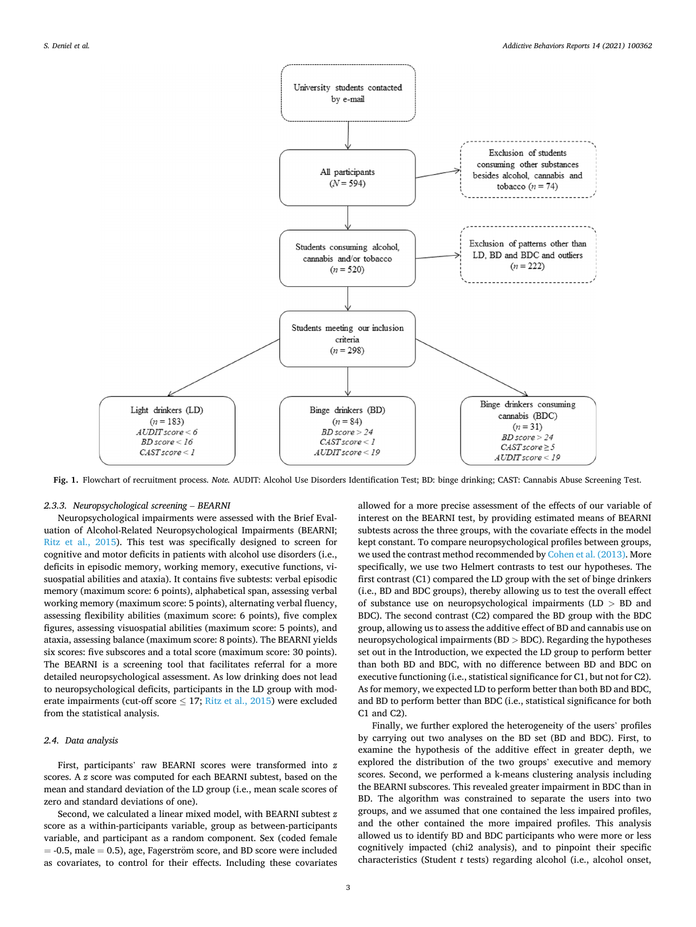<span id="page-2-0"></span>

**Fig. 1.** Flowchart of recruitment process. *Note.* AUDIT: Alcohol Use Disorders Identification Test; BD: binge drinking; CAST: Cannabis Abuse Screening Test.

# *2.3.3. Neuropsychological screening* – *BEARNI*

Neuropsychological impairments were assessed with the Brief Evaluation of Alcohol-Related Neuropsychological Impairments (BEARNI; [Ritz et al., 2015](#page-7-0)). This test was specifically designed to screen for cognitive and motor deficits in patients with alcohol use disorders (i.e., deficits in episodic memory, working memory, executive functions, visuospatial abilities and ataxia). It contains five subtests: verbal episodic memory (maximum score: 6 points), alphabetical span, assessing verbal working memory (maximum score: 5 points), alternating verbal fluency, assessing flexibility abilities (maximum score: 6 points), five complex figures, assessing visuospatial abilities (maximum score: 5 points), and ataxia, assessing balance (maximum score: 8 points). The BEARNI yields six scores: five subscores and a total score (maximum score: 30 points). The BEARNI is a screening tool that facilitates referral for a more detailed neuropsychological assessment. As low drinking does not lead to neuropsychological deficits, participants in the LD group with moderate impairments (cut-off score  $\leq$  17; [Ritz et al., 2015](#page-7-0)) were excluded from the statistical analysis.

# *2.4. Data analysis*

First, participants' raw BEARNI scores were transformed into *z*  scores. A *z* score was computed for each BEARNI subtest, based on the mean and standard deviation of the LD group (i.e., mean scale scores of zero and standard deviations of one).

Second, we calculated a linear mixed model, with BEARNI subtest *z*  score as a within-participants variable, group as between-participants variable, and participant as a random component. Sex (coded female  $= -0.5$ , male  $= 0.5$ ), age, Fagerström score, and BD score were included as covariates, to control for their effects. Including these covariates

allowed for a more precise assessment of the effects of our variable of interest on the BEARNI test, by providing estimated means of BEARNI subtests across the three groups, with the covariate effects in the model kept constant. To compare neuropsychological profiles between groups, we used the contrast method recommended by [Cohen et al. \(2013\)](#page-7-0). More specifically, we use two Helmert contrasts to test our hypotheses. The first contrast (C1) compared the LD group with the set of binge drinkers (i.e., BD and BDC groups), thereby allowing us to test the overall effect of substance use on neuropsychological impairments (LD *>* BD and BDC). The second contrast (C2) compared the BD group with the BDC group, allowing us to assess the additive effect of BD and cannabis use on neuropsychological impairments (BD *>* BDC). Regarding the hypotheses set out in the Introduction, we expected the LD group to perform better than both BD and BDC, with no difference between BD and BDC on executive functioning (i.e., statistical significance for C1, but not for C2). As for memory, we expected LD to perform better than both BD and BDC, and BD to perform better than BDC (i.e., statistical significance for both C1 and C2).

Finally, we further explored the heterogeneity of the users' profiles by carrying out two analyses on the BD set (BD and BDC). First, to examine the hypothesis of the additive effect in greater depth, we explored the distribution of the two groups' executive and memory scores. Second, we performed a k-means clustering analysis including the BEARNI subscores. This revealed greater impairment in BDC than in BD. The algorithm was constrained to separate the users into two groups, and we assumed that one contained the less impaired profiles, and the other contained the more impaired profiles. This analysis allowed us to identify BD and BDC participants who were more or less cognitively impacted (chi2 analysis), and to pinpoint their specific characteristics (Student *t* tests) regarding alcohol (i.e., alcohol onset,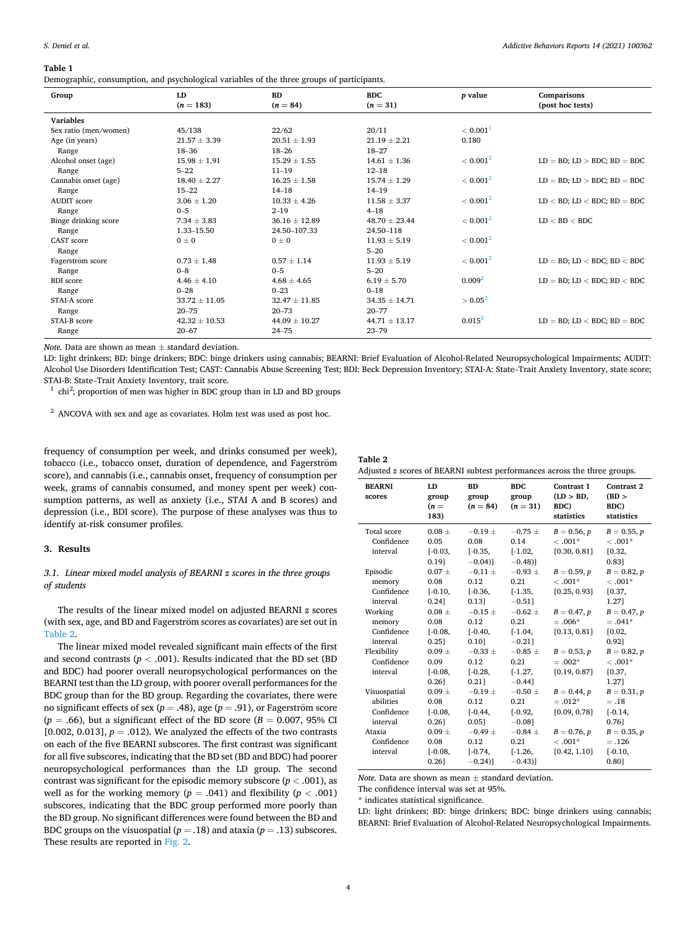#### <span id="page-3-0"></span>**Table 1**

Demographic, consumption, and psychological variables of the three groups of participants.

| Group                 | LD<br>$(n = 183)$ | <b>BD</b><br>$(n = 84)$ | <b>BDC</b><br>$(n = 31)$ | p value              | Comparisons<br>(post hoc tests)     |
|-----------------------|-------------------|-------------------------|--------------------------|----------------------|-------------------------------------|
| <b>Variables</b>      |                   |                         |                          |                      |                                     |
| Sex ratio (men/women) | 45/138            | 22/62                   | 20/11                    | < 0.001 <sup>1</sup> |                                     |
| Age (in years)        | $21.57 \pm 3.39$  | $20.51 \pm 1.93$        | $21.19 \pm 2.21$         | 0.180                |                                     |
| Range                 | $18 - 36$         | $18 - 26$               | $18 - 27$                |                      |                                     |
| Alcohol onset (age)   | $15.98 \pm 1.91$  | $15.29 \pm 1.55$        | $14.61 \pm 1.36$         | < 0.001 <sup>2</sup> | $LD = BD$ ; $LD > BDC$ ; $BD = BDC$ |
| Range                 | $5 - 22$          | $11 - 19$               | $12 - 18$                |                      |                                     |
| Cannabis onset (age)  | $18.40 \pm 2.27$  | $16.25 \pm 1.58$        | $15.74 \pm 1.29$         | < 0.001 <sup>2</sup> | $LD = BD$ ; $LD > BDC$ ; $BD = BDC$ |
| Range                 | $15 - 22$         | $14 - 18$               | $14 - 19$                |                      |                                     |
| <b>AUDIT</b> score    | $3.06 \pm 1.20$   | $10.33 \pm 4.26$        | $11.58 \pm 3.37$         | < 0.001 <sup>2</sup> | $LD < BD$ ; $LD < BDC$ ; $BD = BDC$ |
| Range                 | $0 - 5$           | $2 - 19$                | $4 - 18$                 |                      |                                     |
| Binge drinking score  | $7.34 \pm 3.83$   | $36.16 \pm 12.89$       | $48.70 \pm 23.44$        | < 0.001 <sup>2</sup> | LD < BD < BDC                       |
| Range                 | 1.33-15.50        | 24.50-107.33            | 24.50-118                |                      |                                     |
| <b>CAST</b> score     | $0\pm 0$          | $0\pm 0$                | $11.93 \pm 5.19$         | < 0.001 <sup>2</sup> |                                     |
| Range                 |                   |                         | $5 - 20$                 |                      |                                     |
| Fagerström score      | $0.73 \pm 1.48$   | $0.57 \pm 1.14$         | $11.93 \pm 5.19$         | < 0.001 <sup>2</sup> | $LD = BD$ ; $LD < BDC$ ; $BD < BDC$ |
| Range                 | $0 - 8$           | $0 - 5$                 | $5 - 20$                 |                      |                                     |
| <b>BDI</b> score      | $4.46 \pm 4.10$   | $4.68 \pm 4.65$         | $6.19 \pm 5.70$          | 0.009 <sup>2</sup>   | $LD = BD$ ; $LD < BDC$ ; $BD < BDC$ |
| Range                 | $0 - 28$          | $0 - 23$                | $0 - 18$                 |                      |                                     |
| STAI-A score          | $33.72 \pm 11.05$ | $32.47 \pm 11.85$       | $34.35 \pm 14.71$        | $> 0.05^2$           |                                     |
| Range                 | $20 - 75$         | $20 - 73$               | $20 - 77$                |                      |                                     |
| STAI-B score          | $42.32 \pm 10.53$ | $44.09 \pm 10.27$       | $44.71 \pm 13.17$        | $0.015^2$            | $LD = BD$ ; $LD < BDC$ ; $BD = BDC$ |
| Range                 | $20 - 67$         | $24 - 75$               | $23 - 79$                |                      |                                     |

*Note.* Data are shown as mean ± standard deviation.

LD: light drinkers; BD: binge drinkers; BDC: binge drinkers using cannabis; BEARNI: Brief Evaluation of Alcohol-Related Neuropsychological Impairments; AUDIT: Alcohol Use Disorders Identification Test; CAST: Cannabis Abuse Screening Test; BDI: Beck Depression Inventory; STAI-A: State–Trait Anxiety Inventory, state score;

STAI-B: State–Trait Anxiety Inventory, trait score.<br> $1$  chi<sup>2</sup>; proportion of men was higher in BDC group than in LD and BD groups

<sup>2</sup> ANCOVA with sex and age as covariates. Holm test was used as post hoc.

frequency of consumption per week, and drinks consumed per week), tobacco (i.e., tobacco onset, duration of dependence, and Fagerström score), and cannabis (i.e., cannabis onset, frequency of consumption per week, grams of cannabis consumed, and money spent per week) consumption patterns, as well as anxiety (i.e., STAI A and B scores) and depression (i.e., BDI score). The purpose of these analyses was thus to identify at-risk consumer profiles.

#### **3. Results**

# *3.1. Linear mixed model analysis of BEARNI z scores in the three groups of students*

The results of the linear mixed model on adjusted BEARNI *z* scores (with sex, age, and BD and Fagerström scores as covariates) are set out in Table 2.

The linear mixed model revealed significant main effects of the first and second contrasts  $(p < .001)$ . Results indicated that the BD set (BD and BDC) had poorer overall neuropsychological performances on the BEARNI test than the LD group, with poorer overall performances for the BDC group than for the BD group. Regarding the covariates, there were no significant effects of sex ( $p = .48$ ), age ( $p = .91$ ), or Fagerstrom score  $(p = .66)$ , but a significant effect of the BD score ( $B = 0.007$ , 95% CI [ $0.002$ ,  $0.013$ ],  $p = .012$ ). We analyzed the effects of the two contrasts on each of the five BEARNI subscores. The first contrast was significant for all five subscores, indicating that the BD set (BD and BDC) had poorer neuropsychological performances than the LD group. The second contrast was significant for the episodic memory subscore (*p <* .001), as well as for the working memory ( $p = .041$ ) and flexibility ( $p < .001$ ) subscores, indicating that the BDC group performed more poorly than the BD group. No significant differences were found between the BD and BDC groups on the visuospatial ( $p = .18$ ) and ataxia ( $p = .13$ ) subscores. These results are reported in [Fig. 2.](#page-4-0)

| Table 2 |  |  |
|---------|--|--|
|         |  |  |

| Adjusted z scores of BEARNI subtest performances across the three groups. |  |  |
|---------------------------------------------------------------------------|--|--|
|---------------------------------------------------------------------------|--|--|

| <b>BEARNI</b><br>scores                                                                                                              | LD<br>group<br>$(n =$<br>183)                                                                                         | <b>BD</b><br>group<br>$(n = 84)$                                                                                         | BDC.<br>group<br>$(n = 31)$                                                                                                     | Contrast 1<br>(LD > BD,<br>BDC)<br>statistics                                                                                       | Contrast 2<br>(BD)<br>BDC)<br>statistics                                                                                            |
|--------------------------------------------------------------------------------------------------------------------------------------|-----------------------------------------------------------------------------------------------------------------------|--------------------------------------------------------------------------------------------------------------------------|---------------------------------------------------------------------------------------------------------------------------------|-------------------------------------------------------------------------------------------------------------------------------------|-------------------------------------------------------------------------------------------------------------------------------------|
| Total score<br>Confidence<br>interval                                                                                                | $0.08 +$<br>0.05<br>$[-0.03,$<br>0.191                                                                                | $-0.19 +$<br>0.08<br>$[-0.35,$<br>$-0.04$ ]                                                                              | $-0.75 \pm$<br>0.14<br>$[-1.02,$<br>$-0.48$ ]                                                                                   | $B = 0.56, p$<br>$<.001*$<br>[0.30, 0.81]                                                                                           | $B = 0.55, p$<br>$<.001*$<br>[0.32,<br>0.831                                                                                        |
| Episodic<br>memory<br>Confidence<br>interval<br>Working<br>memory<br>Confidence<br>interval<br>Flexibility<br>Confidence<br>interval | $0.07 +$<br>0.08<br>$[-0.10,$<br>0.241<br>$0.08 \pm$<br>0.08<br>$[-0.08,$<br>0.251<br>$0.09 \pm$<br>0.09<br>$[-0.08,$ | $-0.11 \pm$<br>0.12<br>$[-0.36,$<br>0.131<br>$-0.15 +$<br>0.12<br>$[-0.40,$<br>0.101<br>$-0.33 \pm$<br>0.12<br>$[-0.28,$ | $-0.93 \pm$<br>0.21<br>$[-1.35,$<br>$-0.51$ ]<br>$-0.62 \pm$<br>0.21<br>$[-1.04,$<br>$-0.211$<br>$-0.85 +$<br>0.21<br>$[-1.27,$ | $B = 0.59, p$<br>$<.001*$<br>[0.25, 0.93]<br>$B = 0.47, p$<br>$=.006*$<br>[0.13, 0.81]<br>$B = 0.53, p$<br>$=.002*$<br>[0.19, 0.87] | $B = 0.82, p$<br>$<.001*$<br>[0.37,<br>1.271<br>$B = 0.47, p$<br>$=.041*$<br>[0.02,<br>0.921<br>$B = 0.82, p$<br>$<.001*$<br>[0.37, |
| Visuospatial<br>abilities<br>Confidence<br>interval<br>Ataxia<br>Confidence<br>interval                                              | 0.261<br>$0.09 \pm$<br>0.08<br>$[-0.08,$<br>$0.26$ ]<br>$0.09 \pm$<br>0.08<br>$[-0.08,$<br>0.261                      | 0.211<br>$-0.19 \pm$<br>0.12<br>$[-0.44,$<br>0.051<br>$-0.49 \pm$<br>0.12<br>$[-0.74,$<br>$-0.24$ ]                      | $-0.441$<br>$-0.50 \pm$<br>0.21<br>$[-0.92,$<br>$-0.08$ ]<br>$-0.84 \pm$<br>0.21<br>$[-1.26,$<br>$-0.43$ ]                      | $B = 0.44, p$<br>$=.012*$<br>[0.09, 0.78]<br>$B = 0.76, p$<br>$<.001*$<br>[0.42, 1.10]                                              | 1.271<br>$B = 0.31, p$<br>$=.18$<br>$[-0.14,$<br>0.761<br>$B = 0.35, p$<br>$=.126$<br>$[-0.10,$<br>0.801                            |

*Note.* Data are shown as mean  $\pm$  standard deviation.

The confidence interval was set at 95%.

\* indicates statistical significance.

LD: light drinkers; BD: binge drinkers; BDC: binge drinkers using cannabis; BEARNI: Brief Evaluation of Alcohol-Related Neuropsychological Impairments.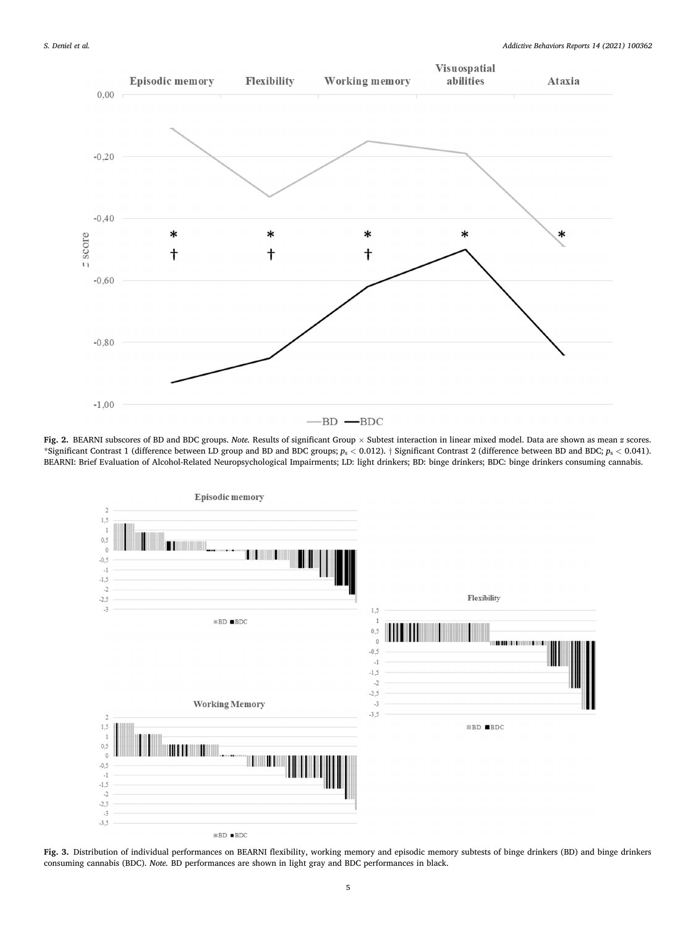<span id="page-4-0"></span>

**Fig. 2.** BEARNI subscores of BD and BDC groups. *Note.* Results of significant Group × Subtest interaction in linear mixed model. Data are shown as mean *z* scores. \*Significant Contrast 1 (difference between LD group and BD and BDC groups; *p*s *<* 0.012). † Significant Contrast 2 (difference between BD and BDC; *p*s *<* 0.041). BEARNI: Brief Evaluation of Alcohol-Related Neuropsychological Impairments; LD: light drinkers; BD: binge drinkers; BDC: binge drinkers consuming cannabis.



**Fig. 3.** Distribution of individual performances on BEARNI flexibility, working memory and episodic memory subtests of binge drinkers (BD) and binge drinkers consuming cannabis (BDC). *Note.* BD performances are shown in light gray and BDC performances in black.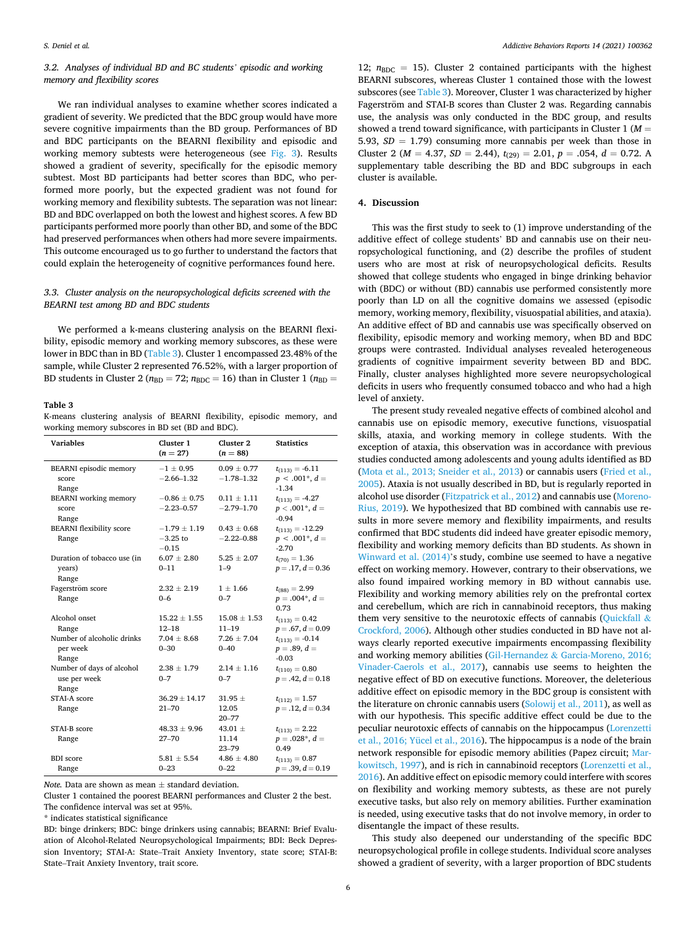# *3.2. Analyses of individual BD and BC students' episodic and working memory and flexibility scores*

We ran individual analyses to examine whether scores indicated a gradient of severity. We predicted that the BDC group would have more severe cognitive impairments than the BD group. Performances of BD and BDC participants on the BEARNI flexibility and episodic and working memory subtests were heterogeneous (see [Fig. 3](#page-4-0)). Results showed a gradient of severity, specifically for the episodic memory subtest. Most BD participants had better scores than BDC, who performed more poorly, but the expected gradient was not found for working memory and flexibility subtests. The separation was not linear: BD and BDC overlapped on both the lowest and highest scores. A few BD participants performed more poorly than other BD, and some of the BDC had preserved performances when others had more severe impairments. This outcome encouraged us to go further to understand the factors that could explain the heterogeneity of cognitive performances found here.

# *3.3. Cluster analysis on the neuropsychological deficits screened with the BEARNI test among BD and BDC students*

We performed a k-means clustering analysis on the BEARNI flexibility, episodic memory and working memory subscores, as these were lower in BDC than in BD (Table 3). Cluster 1 encompassed 23.48% of the sample, while Cluster 2 represented 76.52%, with a larger proportion of BD students in Cluster 2 ( $n_{BD} = 72$ ;  $n_{BDC} = 16$ ) than in Cluster 1 ( $n_{BD} =$ 

#### **Table 3**

K-means clustering analysis of BEARNI flexibility, episodic memory, and working memory subscores in BD set (BD and BDC).

| <b>Variables</b>                                   | Cluster 1<br>$(n = 27)$                   | Cluster <sub>2</sub><br>$(n = 88)$ | <b>Statistics</b>                                       |
|----------------------------------------------------|-------------------------------------------|------------------------------------|---------------------------------------------------------|
| <b>BEARNI</b> episodic memory<br>score<br>Range    | $-1 \pm 0.95$<br>$-2.66 - 1.32$           | $0.09 \pm 0.77$<br>$-1.78 - 1.32$  | $t_{(113)} = -6.11$<br>$p < .001^*$ , $d =$<br>$-1.34$  |
| <b>BEARNI</b> working memory<br>score<br>Range     | $-0.86 \pm 0.75$<br>$-2.23 - 0.57$        | $0.11 \pm 1.11$<br>$-2.79 - 1.70$  | $t_{(113)} = -4.27$<br>$p < .001^*$ , $d =$<br>$-0.94$  |
| <b>BEARNI</b> flexibility score<br>Range           | $-1.79 \pm 1.19$<br>$-3.25$ to<br>$-0.15$ | $0.43 \pm 0.68$<br>$-2.22 - 0.88$  | $t_{(113)} = -12.29$<br>$p < .001^*$ , $d =$<br>$-2.70$ |
| Duration of tobacco use (in<br>years)<br>Range     | $6.07 \pm 2.80$<br>$0 - 11$               | $5.25 \pm 2.07$<br>$1 - 9$         | $t_{(70)} = 1.36$<br>$p = .17, d = 0.36$                |
| Fagerström score<br>Range                          | $2.32 \pm 2.19$<br>$0 - 6$                | $1 \pm 1.66$<br>$0 - 7$            | $t_{(88)} = 2.99$<br>$p=.004^*, d=$<br>0.73             |
| Alcohol onset<br>Range                             | $15.22 \pm 1.55$<br>$12 - 18$             | $15.08 \pm 1.53$<br>$11 - 19$      | $t_{(113)} = 0.42$<br>$p = .67, d = 0.09$               |
| Number of alcoholic drinks<br>per week<br>Range    | $7.04 \pm 8.68$<br>$0 - 30$               | $7.26 \pm 7.04$<br>$0 - 40$        | $t_{(113)} = -0.14$<br>$p=.89, d=$<br>$-0.03$           |
| Number of days of alcohol<br>use per week<br>Range | $2.38 \pm 1.79$<br>$0 - 7$                | $2.14 \pm 1.16$<br>$0 - 7$         | $t_{(110)} = 0.80$<br>$p = .42, d = 0.18$               |
| STAI-A score<br>Range                              | $36.29 \pm 14.17$<br>$21 - 70$            | $31.95 \pm$<br>12.05<br>$20 - 77$  | $t_{(112)} = 1.57$<br>$p = .12, d = 0.34$               |
| STAI-B score<br>Range                              | $48.33 \pm 9.96$<br>$27 - 70$             | 43.01 $\pm$<br>11.14<br>$23 - 79$  | $t_{(113)} = 2.22$<br>$p=.028^*, d =$<br>0.49           |
| <b>BDI</b> score<br>Range                          | $5.81 \pm 5.54$<br>$0 - 23$               | $4.86 \pm 4.80$<br>$0 - 22$        | $t_{(113)} = 0.87$<br>$p = .39, d = 0.19$               |

*Note.* Data are shown as mean ± standard deviation.

Cluster 1 contained the poorest BEARNI performances and Cluster 2 the best. The confidence interval was set at 95%.

\* indicates statistical significance

BD: binge drinkers; BDC: binge drinkers using cannabis; BEARNI: Brief Evaluation of Alcohol-Related Neuropsychological Impairments; BDI: Beck Depression Inventory; STAI-A: State–Trait Anxiety Inventory, state score; STAI-B: State–Trait Anxiety Inventory, trait score.

12;  $n_{\text{BDC}} = 15$ ). Cluster 2 contained participants with the highest BEARNI subscores, whereas Cluster 1 contained those with the lowest subscores (see Table 3). Moreover, Cluster 1 was characterized by higher Fagerström and STAI-B scores than Cluster 2 was. Regarding cannabis use, the analysis was only conducted in the BDC group, and results showed a trend toward significance, with participants in Cluster 1 (*M* = 5.93,  $SD = 1.79$ ) consuming more cannabis per week than those in Cluster 2 ( $M = 4.37$ ,  $SD = 2.44$ ),  $t_{(29)} = 2.01$ ,  $p = .054$ ,  $d = 0.72$ . A supplementary table describing the BD and BDC subgroups in each cluster is available.

# **4. Discussion**

This was the first study to seek to (1) improve understanding of the additive effect of college students' BD and cannabis use on their neuropsychological functioning, and (2) describe the profiles of student users who are most at risk of neuropsychological deficits. Results showed that college students who engaged in binge drinking behavior with (BDC) or without (BD) cannabis use performed consistently more poorly than LD on all the cognitive domains we assessed (episodic memory, working memory, flexibility, visuospatial abilities, and ataxia). An additive effect of BD and cannabis use was specifically observed on flexibility, episodic memory and working memory, when BD and BDC groups were contrasted. Individual analyses revealed heterogeneous gradients of cognitive impairment severity between BD and BDC. Finally, cluster analyses highlighted more severe neuropsychological deficits in users who frequently consumed tobacco and who had a high level of anxiety.

The present study revealed negative effects of combined alcohol and cannabis use on episodic memory, executive functions, visuospatial skills, ataxia, and working memory in college students. With the exception of ataxia, this observation was in accordance with previous studies conducted among adolescents and young adults identified as BD ([Mota et al., 2013; Sneider et al., 2013\)](#page-7-0) or cannabis users ([Fried et al.,](#page-7-0)  [2005\)](#page-7-0). Ataxia is not usually described in BD, but is regularly reported in alcohol use disorder [\(Fitzpatrick et al., 2012\)](#page-7-0) and cannabis use ([Moreno-](#page-7-0)[Rius, 2019\)](#page-7-0). We hypothesized that BD combined with cannabis use results in more severe memory and flexibility impairments, and results confirmed that BDC students did indeed have greater episodic memory, flexibility and working memory deficits than BD students. As shown in [Winward et al. \(2014\)](#page-8-0)'s study, combine use seemed to have a negative effect on working memory. However, contrary to their observations, we also found impaired working memory in BD without cannabis use. Flexibility and working memory abilities rely on the prefrontal cortex and cerebellum, which are rich in cannabinoid receptors, thus making them very sensitive to the neurotoxic effects of cannabis [\(Quickfall](#page-7-0)  $\&$ [Crockford, 2006](#page-7-0)). Although other studies conducted in BD have not always clearly reported executive impairments encompassing flexibility and working memory abilities (Gil-Hernandez & [Garcia-Moreno, 2016;](#page-7-0)  [Vinader-Caerols et al., 2017](#page-7-0)), cannabis use seems to heighten the negative effect of BD on executive functions. Moreover, the deleterious additive effect on episodic memory in the BDC group is consistent with the literature on chronic cannabis users ([Solowij et al., 2011](#page-7-0)), as well as with our hypothesis. This specific additive effect could be due to the peculiar neurotoxic effects of cannabis on the hippocampus [\(Lorenzetti](#page-7-0)  [et al., 2016; Yücel et al., 2016\)](#page-7-0). The hippocampus is a node of the brain network responsible for episodic memory abilities (Papez circuit; [Mar](#page-7-0)[kowitsch, 1997\)](#page-7-0), and is rich in cannabinoid receptors [\(Lorenzetti et al.,](#page-7-0)  [2016\)](#page-7-0). An additive effect on episodic memory could interfere with scores on flexibility and working memory subtests, as these are not purely executive tasks, but also rely on memory abilities. Further examination is needed, using executive tasks that do not involve memory, in order to disentangle the impact of these results.

This study also deepened our understanding of the specific BDC neuropsychological profile in college students. Individual score analyses showed a gradient of severity, with a larger proportion of BDC students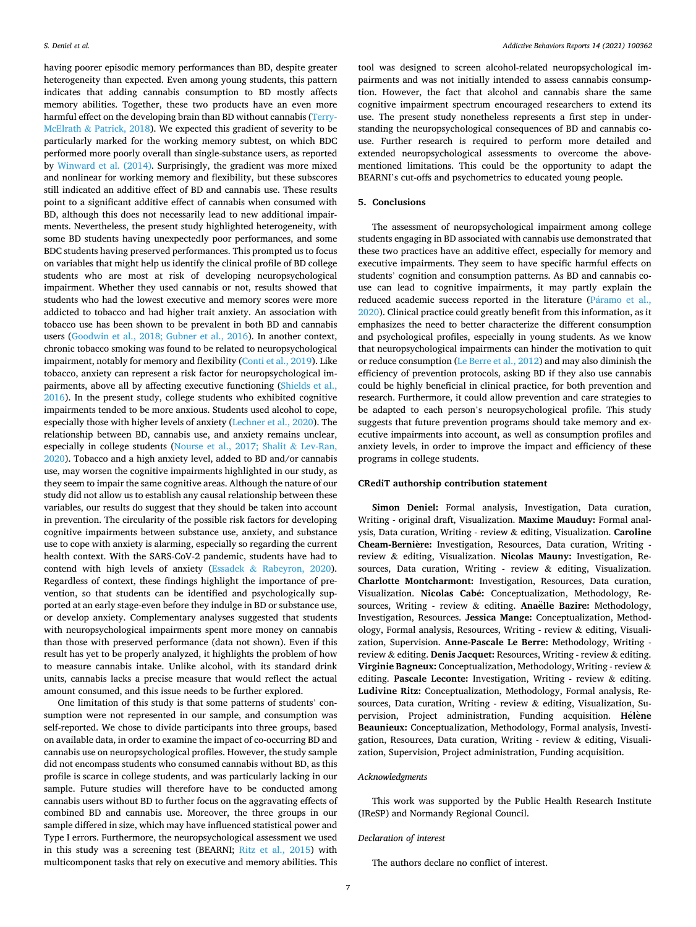having poorer episodic memory performances than BD, despite greater heterogeneity than expected. Even among young students, this pattern indicates that adding cannabis consumption to BD mostly affects memory abilities. Together, these two products have an even more harmful effect on the developing brain than BD without cannabis ([Terry-](#page-7-0)McElrath & [Patrick, 2018\)](#page-7-0). We expected this gradient of severity to be particularly marked for the working memory subtest, on which BDC performed more poorly overall than single-substance users, as reported by [Winward et al. \(2014\).](#page-8-0) Surprisingly, the gradient was more mixed and nonlinear for working memory and flexibility, but these subscores still indicated an additive effect of BD and cannabis use. These results point to a significant additive effect of cannabis when consumed with BD, although this does not necessarily lead to new additional impairments. Nevertheless, the present study highlighted heterogeneity, with some BD students having unexpectedly poor performances, and some BDC students having preserved performances. This prompted us to focus on variables that might help us identify the clinical profile of BD college students who are most at risk of developing neuropsychological impairment. Whether they used cannabis or not, results showed that students who had the lowest executive and memory scores were more addicted to tobacco and had higher trait anxiety. An association with tobacco use has been shown to be prevalent in both BD and cannabis users [\(Goodwin et al., 2018; Gubner et al., 2016](#page-7-0)). In another context, chronic tobacco smoking was found to be related to neuropsychological impairment, notably for memory and flexibility [\(Conti et al., 2019\)](#page-7-0). Like tobacco, anxiety can represent a risk factor for neuropsychological impairments, above all by affecting executive functioning [\(Shields et al.,](#page-7-0)  [2016\)](#page-7-0). In the present study, college students who exhibited cognitive impairments tended to be more anxious. Students used alcohol to cope, especially those with higher levels of anxiety ([Lechner et al., 2020](#page-7-0)). The relationship between BD, cannabis use, and anxiety remains unclear, especially in college students [\(Nourse et al., 2017; Shalit](#page-7-0) & Lev-Ran, [2020\)](#page-7-0). Tobacco and a high anxiety level, added to BD and/or cannabis use, may worsen the cognitive impairments highlighted in our study, as they seem to impair the same cognitive areas. Although the nature of our study did not allow us to establish any causal relationship between these variables, our results do suggest that they should be taken into account in prevention. The circularity of the possible risk factors for developing cognitive impairments between substance use, anxiety, and substance use to cope with anxiety is alarming, especially so regarding the current health context. With the SARS-CoV-2 pandemic, students have had to contend with high levels of anxiety (Essadek & [Rabeyron, 2020](#page-7-0)). Regardless of context, these findings highlight the importance of prevention, so that students can be identified and psychologically supported at an early stage-even before they indulge in BD or substance use, or develop anxiety. Complementary analyses suggested that students with neuropsychological impairments spent more money on cannabis than those with preserved performance (data not shown). Even if this result has yet to be properly analyzed, it highlights the problem of how to measure cannabis intake. Unlike alcohol, with its standard drink units, cannabis lacks a precise measure that would reflect the actual amount consumed, and this issue needs to be further explored.

One limitation of this study is that some patterns of students' consumption were not represented in our sample, and consumption was self-reported. We chose to divide participants into three groups, based on available data, in order to examine the impact of co-occurring BD and cannabis use on neuropsychological profiles. However, the study sample did not encompass students who consumed cannabis without BD, as this profile is scarce in college students, and was particularly lacking in our sample. Future studies will therefore have to be conducted among cannabis users without BD to further focus on the aggravating effects of combined BD and cannabis use. Moreover, the three groups in our sample differed in size, which may have influenced statistical power and Type I errors. Furthermore, the neuropsychological assessment we used in this study was a screening test (BEARNI; [Ritz et al., 2015\)](#page-7-0) with multicomponent tasks that rely on executive and memory abilities. This

tool was designed to screen alcohol-related neuropsychological impairments and was not initially intended to assess cannabis consumption. However, the fact that alcohol and cannabis share the same cognitive impairment spectrum encouraged researchers to extend its use. The present study nonetheless represents a first step in understanding the neuropsychological consequences of BD and cannabis couse. Further research is required to perform more detailed and extended neuropsychological assessments to overcome the abovementioned limitations. This could be the opportunity to adapt the BEARNI's cut-offs and psychometrics to educated young people.

# **5. Conclusions**

The assessment of neuropsychological impairment among college students engaging in BD associated with cannabis use demonstrated that these two practices have an additive effect, especially for memory and executive impairments. They seem to have specific harmful effects on students' cognition and consumption patterns. As BD and cannabis couse can lead to cognitive impairments, it may partly explain the reduced academic success reported in the literature (Páramo et al., [2020\)](#page-7-0). Clinical practice could greatly benefit from this information, as it emphasizes the need to better characterize the different consumption and psychological profiles, especially in young students. As we know that neuropsychological impairments can hinder the motivation to quit or reduce consumption ([Le Berre et al., 2012](#page-7-0)) and may also diminish the efficiency of prevention protocols, asking BD if they also use cannabis could be highly beneficial in clinical practice, for both prevention and research. Furthermore, it could allow prevention and care strategies to be adapted to each person's neuropsychological profile. This study suggests that future prevention programs should take memory and executive impairments into account, as well as consumption profiles and anxiety levels, in order to improve the impact and efficiency of these programs in college students.

#### **CRediT authorship contribution statement**

**Simon Deniel:** Formal analysis, Investigation, Data curation, Writing - original draft, Visualization. **Maxime Mauduy:** Formal analysis, Data curation, Writing - review & editing, Visualization. **Caroline**  Cheam-Bernière: Investigation, Resources, Data curation, Writing review & editing, Visualization. **Nicolas Mauny:** Investigation, Resources, Data curation, Writing - review & editing, Visualization. **Charlotte Montcharmont:** Investigation, Resources, Data curation, Visualization. Nicolas Cabé: Conceptualization, Methodology, Resources, Writing - review & editing. Anaëlle Bazire: Methodology, Investigation, Resources. **Jessica Mange:** Conceptualization, Methodology, Formal analysis, Resources, Writing - review & editing, Visualization, Supervision. **Anne-Pascale Le Berre:** Methodology, Writing review & editing. **Denis Jacquet:** Resources, Writing - review & editing. **Virginie Bagneux:** Conceptualization, Methodology, Writing - review & editing. **Pascale Leconte:** Investigation, Writing - review & editing. **Ludivine Ritz:** Conceptualization, Methodology, Formal analysis, Resources, Data curation, Writing - review & editing, Visualization, Supervision, Project administration, Funding acquisition. Hélène **Beaunieux:** Conceptualization, Methodology, Formal analysis, Investigation, Resources, Data curation, Writing - review & editing, Visualization, Supervision, Project administration, Funding acquisition.

# *Acknowledgments*

This work was supported by the Public Health Research Institute (IReSP) and Normandy Regional Council.

# *Declaration of interest*

The authors declare no conflict of interest.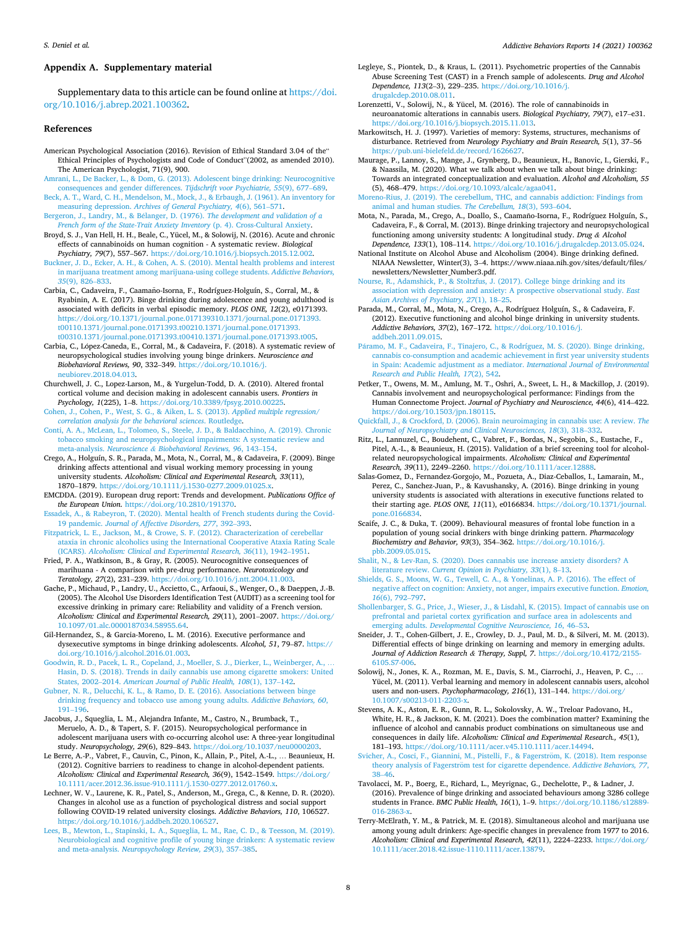#### <span id="page-7-0"></span>**Appendix A. Supplementary material**

Supplementary data to this article can be found online at [https://doi.](https://doi.org/10.1016/j.abrep.2021.100362)  [org/10.1016/j.abrep.2021.100362](https://doi.org/10.1016/j.abrep.2021.100362).

### **References**

- American Psychological Association (2016). Revision of Ethical Standard 3.04 of the" Ethical Principles of Psychologists and Code of Conduct"(2002, as amended 2010). The American Psychologist, 71(9), 900.
- [Amrani, L., De Backer, L., & Dom, G. \(2013\). Adolescent binge drinking: Neurocognitive](http://refhub.elsevier.com/S2352-8532(21)00025-0/h0010)  [consequences and gender differences.](http://refhub.elsevier.com/S2352-8532(21)00025-0/h0010) *Tijdschrift voor Psychiatrie, 55*(9), 677–689.
- [Beck, A. T., Ward, C. H., Mendelson, M., Mock, J., & Erbaugh, J. \(1961\). An inventory for](http://refhub.elsevier.com/S2352-8532(21)00025-0/h0015)  measuring depression. *[Archives of General Psychiatry, 4](http://refhub.elsevier.com/S2352-8532(21)00025-0/h0015)*(6), 561–571.
- Bergeron, J., Landry, M., & Bélanger, D. (1976). *The development and validation of a [French form of the State-Trait Anxiety Inventory](http://refhub.elsevier.com/S2352-8532(21)00025-0/h0020) (p. 4). Cross-Cultural Anxiety*
- Broyd, S. J., Van Hell, H. H., Beale, C., Yücel, M., & Solowij, N. (2016). Acute and chronic effects of cannabinoids on human cognition - A systematic review. *Biological Psychiatry, 79*(7), 557–567. <https://doi.org/10.1016/j.biopsych.2015.12.002>.
- [Buckner, J. D., Ecker, A. H., & Cohen, A. S. \(2010\). Mental health problems and interest](http://refhub.elsevier.com/S2352-8532(21)00025-0/h0030)  [in marijuana treatment among marijuana-using college students.](http://refhub.elsevier.com/S2352-8532(21)00025-0/h0030) *Addictive Behaviors, 35*[\(9\), 826](http://refhub.elsevier.com/S2352-8532(21)00025-0/h0030)–833.
- Carbia, C., Cadaveira, F., Caamaño-Isorna, F., Rodríguez-Holguín, S., Corral, M., & Ryabinin, A. E. (2017). Binge drinking during adolescence and young adulthood is associated with deficits in verbal episodic memory. *PLOS ONE, 12*(2), e0171393. [https://doi.org/10.1371/journal.pone.017139310.1371/journal.pone.0171393.](https://doi.org/10.1371/journal.pone.017139310.1371/journal.pone.0171393.t00110.1371/journal.pone.0171393.t00210.1371/journal.pone.0171393.t00310.1371/journal.pone.0171393.t00410.1371/journal.pone.0171393.t005)  [t00110.1371/journal.pone.0171393.t00210.1371/journal.pone.0171393.](https://doi.org/10.1371/journal.pone.017139310.1371/journal.pone.0171393.t00110.1371/journal.pone.0171393.t00210.1371/journal.pone.0171393.t00310.1371/journal.pone.0171393.t00410.1371/journal.pone.0171393.t005) [t00310.1371/journal.pone.0171393.t00410.1371/journal.pone.0171393.t005](https://doi.org/10.1371/journal.pone.017139310.1371/journal.pone.0171393.t00110.1371/journal.pone.0171393.t00210.1371/journal.pone.0171393.t00310.1371/journal.pone.0171393.t00410.1371/journal.pone.0171393.t005).
- Carbia, C., López-Caneda, E., Corral, M., & Cadaveira, F. (2018). A systematic review of neuropsychological studies involving young binge drinkers. *Neuroscience and Biobehavioral Reviews, 90*, 332–349. [https://doi.org/10.1016/j.](https://doi.org/10.1016/j.neubiorev.2018.04.013) [neubiorev.2018.04.013.](https://doi.org/10.1016/j.neubiorev.2018.04.013)
- Churchwell, J. C., Lopez-Larson, M., & Yurgelun-Todd, D. A. (2010). Altered frontal cortical volume and decision making in adolescent cannabis users. *Frontiers in Psychology, 1*(225), 1–8. [https://doi.org/10.3389/fpsyg.2010.00225.](https://doi.org/10.3389/fpsyg.2010.00225)
- [Cohen, J., Cohen, P., West, S. G., & Aiken, L. S. \(2013\).](http://refhub.elsevier.com/S2352-8532(21)00025-0/h0050) *Applied multiple regression/ [correlation analysis for the behavioral sciences](http://refhub.elsevier.com/S2352-8532(21)00025-0/h0050)*. Routledge.
- [Conti, A. A., McLean, L., Tolomeo, S., Steele, J. D., & Baldacchino, A. \(2019\). Chronic](http://refhub.elsevier.com/S2352-8532(21)00025-0/h0055)  [tobacco smoking and neuropsychological impairments: A systematic review and](http://refhub.elsevier.com/S2352-8532(21)00025-0/h0055)  meta-analysis. *Neuroscience & [Biobehavioral Reviews, 96](http://refhub.elsevier.com/S2352-8532(21)00025-0/h0055)*, 143–154.
- Crego, A., Holguín, S. R., Parada, M., Mota, N., Corral, M., & Cadaveira, F. (2009). Binge drinking affects attentional and visual working memory processing in young university students. *Alcoholism: Clinical and Experimental Research, 33*(11), 1870–1879.<https://doi.org/10.1111/j.1530-0277.2009.01025.x>.
- EMCDDA. (2019). European drug report: Trends and development. *Publications Office of the European Union*. <https://doi.org/10.2810/191370>.
- [Essadek, A., & Rabeyron, T. \(2020\). Mental health of French students during the Covid-](http://refhub.elsevier.com/S2352-8532(21)00025-0/h0070)19 pandemic. *[Journal of Affective Disorders, 277](http://refhub.elsevier.com/S2352-8532(21)00025-0/h0070)*, 392–393.
- [Fitzpatrick, L. E., Jackson, M., & Crowe, S. F. \(2012\). Characterization of cerebellar](http://refhub.elsevier.com/S2352-8532(21)00025-0/h0075)  [ataxia in chronic alcoholics using the International Cooperative Ataxia Rating Scale](http://refhub.elsevier.com/S2352-8532(21)00025-0/h0075)  (ICARS). *[Alcoholism: Clinical and Experimental Research, 36](http://refhub.elsevier.com/S2352-8532(21)00025-0/h0075)*(11), 1942–1951.
- Fried, P. A., Watkinson, B., & Gray, R. (2005). Neurocognitive consequences of marihuana - A comparison with pre-drug performance. *Neurotoxicology and Teratology, 27*(2), 231–239. [https://doi.org/10.1016/j.ntt.2004.11.003.](https://doi.org/10.1016/j.ntt.2004.11.003)
- Gache, P., Michaud, P., Landry, U., Accietto, C., Arfaoui, S., Wenger, O., & Daeppen, J.-B. (2005). The Alcohol Use Disorders Identification Test (AUDIT) as a screening tool for excessive drinking in primary care: Reliability and validity of a French version. *Alcoholism: Clinical and Experimental Research, 29*(11), 2001–2007. [https://doi.org/](https://doi.org/10.1097/01.alc.0000187034.58955.64) [10.1097/01.alc.0000187034.58955.64](https://doi.org/10.1097/01.alc.0000187034.58955.64).
- Gil-Hernandez, S., & Garcia-Moreno, L. M. (2016). Executive performance and dysexecutive symptoms in binge drinking adolescents. *Alcohol, 51*, 79–87. [https://](https://doi.org/10.1016/j.alcohol.2016.01.003)  [doi.org/10.1016/j.alcohol.2016.01.003](https://doi.org/10.1016/j.alcohol.2016.01.003).
- [Goodwin, R. D., Pacek, L. R., Copeland, J., Moeller, S. J., Dierker, L., Weinberger, A.,](http://refhub.elsevier.com/S2352-8532(21)00025-0/h0095) … [Hasin, D. S. \(2018\). Trends in daily cannabis use among cigarette smokers: United](http://refhub.elsevier.com/S2352-8532(21)00025-0/h0095) States, 2002–2014. *[American Journal of Public Health, 108](http://refhub.elsevier.com/S2352-8532(21)00025-0/h0095)*(1), 137–142.
- [Gubner, N. R., Delucchi, K. L., & Ramo, D. E. \(2016\). Associations between binge](http://refhub.elsevier.com/S2352-8532(21)00025-0/h0100) [drinking frequency and tobacco use among young adults.](http://refhub.elsevier.com/S2352-8532(21)00025-0/h0100) *Addictive Behaviors, 60*, 191–[196](http://refhub.elsevier.com/S2352-8532(21)00025-0/h0100).
- Jacobus, J., Squeglia, L. M., Alejandra Infante, M., Castro, N., Brumback, T., Meruelo, A. D., & Tapert, S. F. (2015). Neuropsychological performance in adolescent marijuana users with co-occurring alcohol use: A three-year longitudinal study. *Neuropsychology, 29*(6), 829–843. <https://doi.org/10.1037/neu0000203>.
- Le Berre, A.-P., Vabret, F., Cauvin, C., Pinon, K., Allain, P., Pitel, A.-L., … Beaunieux, H. (2012). Cognitive barriers to readiness to change in alcohol-dependent patients. *Alcoholism: Clinical and Experimental Research, 36*(9), 1542–1549. [https://doi.org/](https://doi.org/10.1111/acer.2012.36.issue-910.1111/j.1530-0277.2012.01760.x)  [10.1111/acer.2012.36.issue-910.1111/j.1530-0277.2012.01760.x.](https://doi.org/10.1111/acer.2012.36.issue-910.1111/j.1530-0277.2012.01760.x)
- Lechner, W. V., Laurene, K. R., Patel, S., Anderson, M., Grega, C., & Kenne, D. R. (2020). Changes in alcohol use as a function of psychological distress and social support following COVID-19 related university closings. *Addictive Behaviors, 110*, 106527. <https://doi.org/10.1016/j.addbeh.2020.106527>.
- [Lees, B., Mewton, L., Stapinski, L. A., Squeglia, L. M., Rae, C. D., & Teesson, M. \(2019\).](http://refhub.elsevier.com/S2352-8532(21)00025-0/h0120)  [Neurobiological and cognitive profile of young binge drinkers: A systematic review](http://refhub.elsevier.com/S2352-8532(21)00025-0/h0120)  and meta-analysis. *[Neuropsychology Review, 29](http://refhub.elsevier.com/S2352-8532(21)00025-0/h0120)*(3), 357–385.
- Legleye, S., Piontek, D., & Kraus, L. (2011). Psychometric properties of the Cannabis Abuse Screening Test (CAST) in a French sample of adolescents. *Drug and Alcohol Dependence, 113*(2–3), 229–235. [https://doi.org/10.1016/j.](https://doi.org/10.1016/j.drugalcdep.2010.08.011)  [drugalcdep.2010.08.011.](https://doi.org/10.1016/j.drugalcdep.2010.08.011)
- Lorenzetti, V., Solowij, N., & Yücel, M. (2016). The role of cannabinoids in neuroanatomic alterations in cannabis users. *Biological Psychiatry, 79*(7), e17–e31. [https://doi.org/10.1016/j.biopsych.2015.11.013.](https://doi.org/10.1016/j.biopsych.2015.11.013)
- Markowitsch, H. J. (1997). Varieties of memory: Systems, structures, mechanisms of disturbance. Retrieved from *Neurology Psychiatry and Brain Research, 5*(1), 37–56 [https://pub.uni-bielefeld.de/record/1626627.](https://pub.uni-bielefeld.de/record/1626627)
- Maurage, P., Lannoy, S., Mange, J., Grynberg, D., Beaunieux, H., Banovic, I., Gierski, F., & Naassila, M. (2020). What we talk about when we talk about binge drinking: Towards an integrated conceptualization and evaluation. *Alcohol and Alcoholism, 55*  (5), 468–479.<https://doi.org/10.1093/alcalc/agaa041>.
- [Moreno-Rius, J. \(2019\). The cerebellum, THC, and cannabis addiction: Findings from](http://refhub.elsevier.com/S2352-8532(21)00025-0/h0145) [animal and human studies.](http://refhub.elsevier.com/S2352-8532(21)00025-0/h0145) *The Cerebellum, 18*(3), 593–604.
- Mota, N., Parada, M., Crego, A., Doallo, S., Caamaño-Isorna, F., Rodríguez Holguín, S., Cadaveira, F., & Corral, M. (2013). Binge drinking trajectory and neuropsychological functioning among university students: A longitudinal study. *Drug & Alcohol Dependence, 133*(1), 108–114. [https://doi.org/10.1016/j.drugalcdep.2013.05.024.](https://doi.org/10.1016/j.drugalcdep.2013.05.024)
- National Institute on Alcohol Abuse and Alcoholism (2004). Binge drinking defined. NIAAA Newsletter, Winter(3), 3–4. https://www.niaaa.nih.gov/sites/default/files/ newsletters/Newsletter\_Number3.pdf.
- [Nourse, R., Adamshick, P., & Stoltzfus, J. \(2017\). College binge drinking and its](http://refhub.elsevier.com/S2352-8532(21)00025-0/h0160) [association with depression and anxiety: A prospective observational study.](http://refhub.elsevier.com/S2352-8532(21)00025-0/h0160) *East [Asian Archives of Psychiatry, 27](http://refhub.elsevier.com/S2352-8532(21)00025-0/h0160)*(1), 18–25.
- Parada, M., Corral, M., Mota, N., Crego, A., Rodríguez Holguín, S., & Cadaveira, F. (2012). Executive functioning and alcohol binge drinking in university students. *Addictive Behaviors, 37*(2), 167–172. [https://doi.org/10.1016/j.](https://doi.org/10.1016/j.addbeh.2011.09.015)  [addbeh.2011.09.015.](https://doi.org/10.1016/j.addbeh.2011.09.015)
- Páramo, M. F., Cadaveira, F., Tinajero, C., & Rodríguez, M. S. (2020). Binge drinking, [cannabis co-consumption and academic achievement in first year university students](http://refhub.elsevier.com/S2352-8532(21)00025-0/h0170)  [in Spain: Academic adjustment as a mediator.](http://refhub.elsevier.com/S2352-8532(21)00025-0/h0170) *International Journal of Environmental [Research and Public Health, 17](http://refhub.elsevier.com/S2352-8532(21)00025-0/h0170)*(2), 542.
- Petker, T., Owens, M. M., Amlung, M. T., Oshri, A., Sweet, L. H., & Mackillop, J. (2019). Cannabis involvement and neuropsychological performance: Findings from the Human Connectome Project. *Journal of Psychiatry and Neuroscience, 44*(6), 414–422. [https://doi.org/10.1503/jpn.180115.](https://doi.org/10.1503/jpn.180115)
- [Quickfall, J., & Crockford, D. \(2006\). Brain neuroimaging in cannabis use: A review.](http://refhub.elsevier.com/S2352-8532(21)00025-0/h0180) *The [Journal of Neuropsychiatry and Clinical Neurosciences, 18](http://refhub.elsevier.com/S2352-8532(21)00025-0/h0180)*(3), 318–332.
- Ritz, L., Lannuzel, C., Boudehent, C., Vabret, F., Bordas, N., Segobin, S., Eustache, F., Pitel, A.-L., & Beaunieux, H. (2015). Validation of a brief screening tool for alcoholrelated neuropsychological impairments. *Alcoholism: Clinical and Experimental Research, 39*(11), 2249–2260. <https://doi.org/10.1111/acer.12888>.
- Salas-Gomez, D., Fernandez-Gorgojo, M., Pozueta, A., Diaz-Ceballos, I., Lamarain, M., Perez, C., Sanchez-Juan, P., & Kavushansky, A. (2016). Binge drinking in young university students is associated with alterations in executive functions related to their starting age. *PLOS ONE, 11*(11), e0166834. [https://doi.org/10.1371/journal.](https://doi.org/10.1371/journal.pone.0166834)  [pone.0166834](https://doi.org/10.1371/journal.pone.0166834)
- Scaife, J. C., & Duka, T. (2009). Behavioural measures of frontal lobe function in a population of young social drinkers with binge drinking pattern. *Pharmacology Biochemistry and Behavior, 93*(3), 354–362. [https://doi.org/10.1016/j.](https://doi.org/10.1016/j.pbb.2009.05.015)  [pbb.2009.05.015.](https://doi.org/10.1016/j.pbb.2009.05.015)
- [Shalit, N., & Lev-Ran, S. \(2020\). Does cannabis use increase anxiety disorders? A](http://refhub.elsevier.com/S2352-8532(21)00025-0/h0200)  literature review. *[Current Opinion in Psychiatry, 33](http://refhub.elsevier.com/S2352-8532(21)00025-0/h0200)*(1), 8–13.
- [Shields, G. S., Moons, W. G., Tewell, C. A., & Yonelinas, A. P. \(2016\). The effect of](http://refhub.elsevier.com/S2352-8532(21)00025-0/h0205)  [negative affect on cognition: Anxiety, not anger, impairs executive function.](http://refhub.elsevier.com/S2352-8532(21)00025-0/h0205) *Emotion, 16*[\(6\), 792](http://refhub.elsevier.com/S2352-8532(21)00025-0/h0205)–797.
- [Shollenbarger, S. G., Price, J., Wieser, J., & Lisdahl, K. \(2015\). Impact of cannabis use on](http://refhub.elsevier.com/S2352-8532(21)00025-0/h0210)  [prefrontal and parietal cortex gyrification and surface area in adolescents and](http://refhub.elsevier.com/S2352-8532(21)00025-0/h0210) emerging adults. *[Developmental Cognitive Neuroscience, 16](http://refhub.elsevier.com/S2352-8532(21)00025-0/h0210)*, 46–53.
- Sneider, J. T., Cohen-Gilbert, J. E., Crowley, D. J., Paul, M. D., & Silveri, M. M. (2013). Differential effects of binge drinking on learning and memory in emerging adults. *Journal of Addiction Research & Therapy, Suppl, 7*. [https://doi.org/10.4172/2155-](https://doi.org/10.4172/2155-6105.S7-006) [6105.S7-006](https://doi.org/10.4172/2155-6105.S7-006).
- Solowij, N., Jones, K. A., Rozman, M. E., Davis, S. M., Ciarrochi, J., Heaven, P. C., … Yücel, M. (2011). Verbal learning and memory in adolescent cannabis users, alcohol users and non-users. *Psychopharmacology, 216*(1), 131–144. [https://doi.org/](https://doi.org/10.1007/s00213-011-2203-x) [10.1007/s00213-011-2203-x.](https://doi.org/10.1007/s00213-011-2203-x)
- Stevens, A. K., Aston, E. R., Gunn, R. L., Sokolovsky, A. W., Treloar Padovano, H., White, H. R., & Jackson, K. M. (2021). Does the combination matter? Examining the influence of alcohol and cannabis product combinations on simultaneous use and consequences in daily life. *Alcoholism: Clinical and Experimental Research., 45*(1), 181–193. [https://doi.org/10.1111/acer.v45.110.1111/acer.14494.](https://doi.org/10.1111/acer.v45.110.1111/acer.14494)
- Svicher, A., Cosci, F., Giannini, M., Pistelli, F., & Fagerström, K. (2018). Item respons theory analysis of Fagerström [test for cigarette dependence.](http://refhub.elsevier.com/S2352-8532(21)00025-0/h0225) *Addictive Behaviors*, 77, 38–[46](http://refhub.elsevier.com/S2352-8532(21)00025-0/h0225).
- Tavolacci, M. P., Boerg, E., Richard, L., Meyrignac, G., Dechelotte, P., & Ladner, J. (2016). Prevalence of binge drinking and associated behaviours among 3286 college students in France. *BMC Public Health*, 16(1), 1-9. https://doi.org/10.1186/s1288 016-2863-
- Terry-McElrath, Y. M., & Patrick, M. E. (2018). Simultaneous alcohol and marijuana use among young adult drinkers: Age-specific changes in prevalence from 1977 to 2016. *Alcoholism: Clinical and Experimental Research, 42*(11), 2224–2233. [https://doi.org/](https://doi.org/10.1111/acer.2018.42.issue-1110.1111/acer.13879) [10.1111/acer.2018.42.issue-1110.1111/acer.13879.](https://doi.org/10.1111/acer.2018.42.issue-1110.1111/acer.13879)